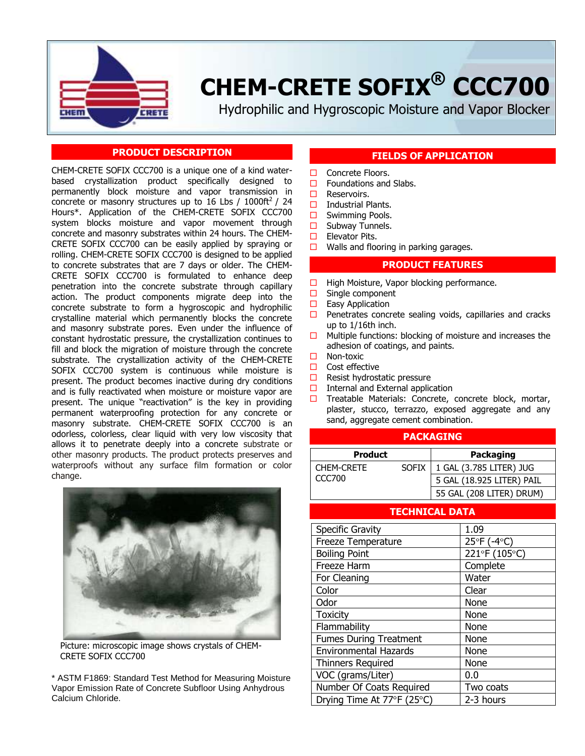

# **CHEM-CRETE SOFIX® CCC700**

Hydrophilic and Hygroscopic Moisture and Vapor Blocker

# **PRODUCT DESCRIPTION**

CHEM-CRETE SOFIX CCC700 is a unique one of a kind waterbased crystallization product specifically designed to permanently block moisture and vapor transmission in concrete or masonry structures up to 16 Lbs / 1000ft<sup>2</sup> / 24 Hours\*. Application of the CHEM-CRETE SOFIX CCC700 system blocks moisture and vapor movement through concrete and masonry substrates within 24 hours. The CHEM-CRETE SOFIX CCC700 can be easily applied by spraying or rolling. CHEM-CRETE SOFIX CCC700 is designed to be applied to concrete substrates that are 7 days or older. The CHEM-CRETE SOFIX CCC700 is formulated to enhance deep penetration into the concrete substrate through capillary action. The product components migrate deep into the concrete substrate to form a hygroscopic and hydrophilic crystalline material which permanently blocks the concrete and masonry substrate pores. Even under the influence of constant hydrostatic pressure, the crystallization continues to fill and block the migration of moisture through the concrete substrate. The crystallization activity of the CHEM-CRETE SOFIX CCC700 system is continuous while moisture is present. The product becomes inactive during dry conditions and is fully reactivated when moisture or moisture vapor are present. The unique "reactivation" is the key in providing permanent waterproofing protection for any concrete or masonry substrate. CHEM-CRETE SOFIX CCC700 is an odorless, colorless, clear liquid with very low viscosity that allows it to penetrate deeply into a concrete substrate or other masonry products. The product protects preserves and waterproofs without any surface film formation or color change.



Picture: microscopic image shows crystals of CHEM-CRETE SOFIX CCC700

\* ASTM F1869: Standard Test Method for Measuring Moisture Vapor Emission Rate of Concrete Subfloor Using Anhydrous Calcium Chloride.

## **FIELDS OF APPLICATION**

- $\Box$  Concrete Floors.
- $\Box$  Foundations and Slabs.
- **D** Reservoirs.
- $\Box$  Industrial Plants.
- □ Swimming Pools.
- $\square$  Subway Tunnels.<br> $\square$  Elevator Pits.
- Elevator Pits.
- $\Box$  Walls and flooring in parking garages.

## **PRODUCT FEATURES**

- $\Box$  High Moisture, Vapor blocking performance.
- $\Box$  Single component
- $\Box$  Easy Application
- $\Box$  Penetrates concrete sealing voids, capillaries and cracks up to 1/16th inch.
- $\Box$  Multiple functions: blocking of moisture and increases the adhesion of coatings, and paints.
- □ Non-toxic
- $\Box$  Cost effective
- $\Box$  Resist hydrostatic pressure
- $\Box$  Internal and External application
- $\Box$  Treatable Materials: Concrete, concrete block, mortar, plaster, stucco, terrazzo, exposed aggregate and any sand, aggregate cement combination.

#### **PACKAGING**

| <b>Product</b>              |              | Packaging                 |
|-----------------------------|--------------|---------------------------|
| <b>CHEM-CRETE</b><br>CCC700 | <b>SOFIX</b> | 1 GAL (3.785 LITER) JUG   |
|                             |              | 5 GAL (18.925 LITER) PAIL |
|                             |              | 55 GAL (208 LITER) DRUM)  |

# **TECHNICAL DATA**

| <b>Specific Gravity</b>       | 1.09          |
|-------------------------------|---------------|
| <b>Freeze Temperature</b>     | 25°F (-4°C)   |
| <b>Boiling Point</b>          | 221°F (105°C) |
| Freeze Harm                   | Complete      |
| For Cleaning                  | Water         |
| Color                         | Clear         |
| Odor                          | None          |
| <b>Toxicity</b>               | None          |
| Flammability                  | None          |
| <b>Fumes During Treatment</b> | None          |
| <b>Environmental Hazards</b>  | None          |
| <b>Thinners Required</b>      | None          |
| VOC (grams/Liter)             | 0.0           |
| Number Of Coats Required      | Two coats     |
| Drying Time At 77°F (25°C)    | 2-3 hours     |